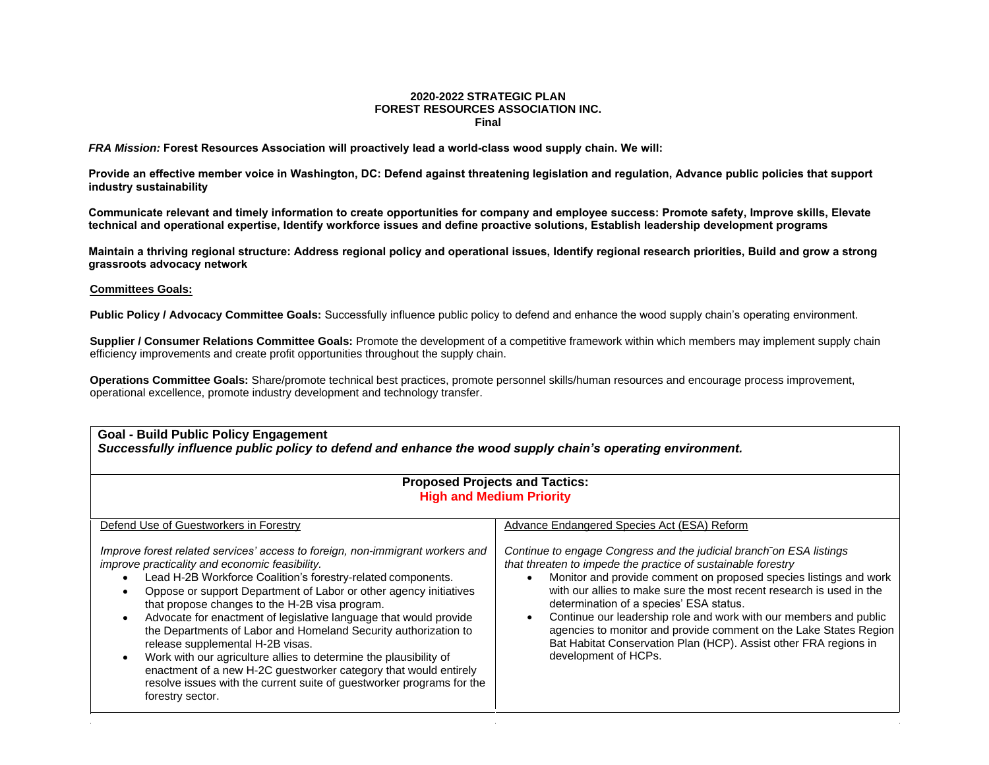## **2020-2022 STRATEGIC PLAN FOREST RESOURCES ASSOCIATION INC. Final**

*FRA Mission:* **Forest Resources Association will proactively lead a world-class wood supply chain. We will:**

**Provide an effective member voice in Washington, DC: Defend against threatening legislation and regulation, Advance public policies that support industry sustainability**

**Communicate relevant and timely information to create opportunities for company and employee success: Promote safety, Improve skills, Elevate technical and operational expertise, Identify workforce issues and define proactive solutions, Establish leadership development programs**

**Maintain a thriving regional structure: Address regional policy and operational issues, Identify regional research priorities, Build and grow a strong grassroots advocacy network**

## **Committees Goals:**

Public Policy / Advocacy Committee Goals: Successfully influence public policy to defend and enhance the wood supply chain's operating environment.

**Supplier / Consumer Relations Committee Goals:** Promote the development of a competitive framework within which members may implement supply chain efficiency improvements and create profit opportunities throughout the supply chain.

**Operations Committee Goals:** Share/promote technical best practices, promote personnel skills/human resources and encourage process improvement, operational excellence, promote industry development and technology transfer.

## **Goal - Build Public Policy Engagement**  *Successfully influence public policy to defend and enhance the wood supply chain's operating environment.*

| <b>Proposed Projects and Tactics:</b><br><b>High and Medium Priority</b>                                                                                                                                                                                                                                                                                                                                                                                                                                                                                                                                                                                                                                                                 |                                                                                                                                                                                                                                                                                                                                                                                                                                                                                                                                                                                |  |
|------------------------------------------------------------------------------------------------------------------------------------------------------------------------------------------------------------------------------------------------------------------------------------------------------------------------------------------------------------------------------------------------------------------------------------------------------------------------------------------------------------------------------------------------------------------------------------------------------------------------------------------------------------------------------------------------------------------------------------------|--------------------------------------------------------------------------------------------------------------------------------------------------------------------------------------------------------------------------------------------------------------------------------------------------------------------------------------------------------------------------------------------------------------------------------------------------------------------------------------------------------------------------------------------------------------------------------|--|
| Defend Use of Guestworkers in Forestry                                                                                                                                                                                                                                                                                                                                                                                                                                                                                                                                                                                                                                                                                                   | Advance Endangered Species Act (ESA) Reform                                                                                                                                                                                                                                                                                                                                                                                                                                                                                                                                    |  |
| Improve forest related services' access to foreign, non-immigrant workers and<br>improve practicality and economic feasibility.<br>Lead H-2B Workforce Coalition's forestry-related components.<br>Oppose or support Department of Labor or other agency initiatives<br>that propose changes to the H-2B visa program.<br>Advocate for enactment of legislative language that would provide<br>the Departments of Labor and Homeland Security authorization to<br>release supplemental H-2B visas.<br>Work with our agriculture allies to determine the plausibility of<br>enactment of a new H-2C guestworker category that would entirely<br>resolve issues with the current suite of guestworker programs for the<br>forestry sector. | Continue to engage Congress and the judicial branch on ESA listings<br>that threaten to impede the practice of sustainable forestry<br>Monitor and provide comment on proposed species listings and work<br>$\bullet$<br>with our allies to make sure the most recent research is used in the<br>determination of a species' ESA status.<br>Continue our leadership role and work with our members and public<br>agencies to monitor and provide comment on the Lake States Region<br>Bat Habitat Conservation Plan (HCP). Assist other FRA regions in<br>development of HCPs. |  |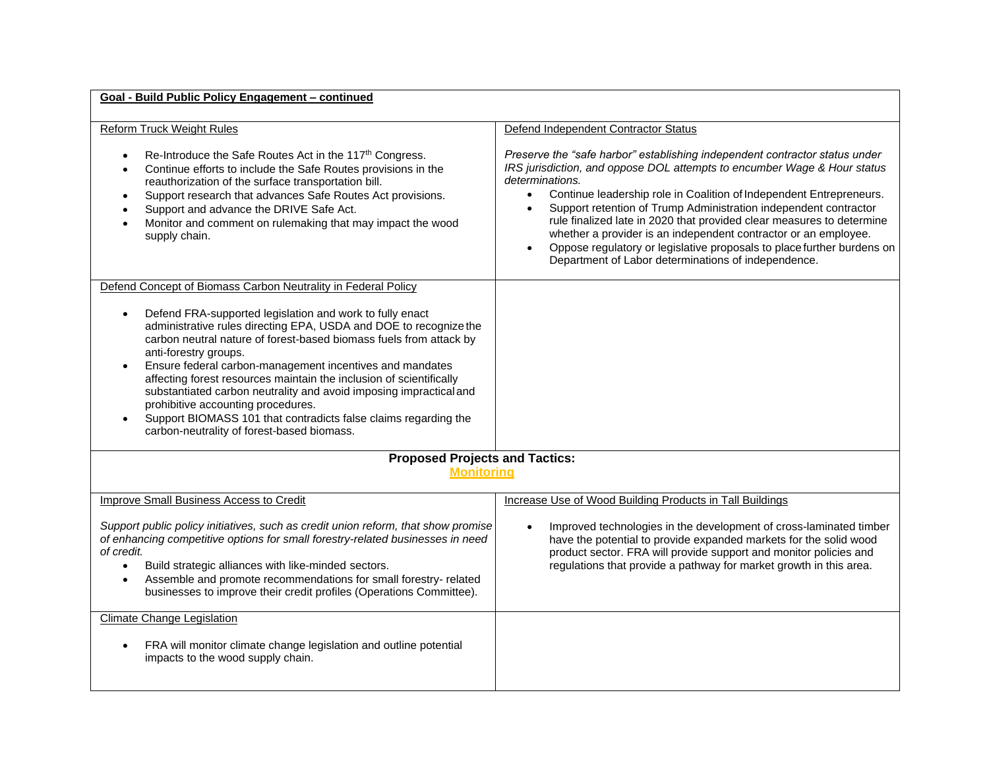## **Goal - Build Public Policy Engagement – continued**

| <b>Reform Truck Weight Rules</b>                                                                                                                                                                                                                                                                                                                                                                                                                                                                                                                                                             | Defend Independent Contractor Status                                                                                                                                                                                                                                                                                                                                                                                                                                                                                                                                                                                                      |
|----------------------------------------------------------------------------------------------------------------------------------------------------------------------------------------------------------------------------------------------------------------------------------------------------------------------------------------------------------------------------------------------------------------------------------------------------------------------------------------------------------------------------------------------------------------------------------------------|-------------------------------------------------------------------------------------------------------------------------------------------------------------------------------------------------------------------------------------------------------------------------------------------------------------------------------------------------------------------------------------------------------------------------------------------------------------------------------------------------------------------------------------------------------------------------------------------------------------------------------------------|
| Re-Introduce the Safe Routes Act in the 117 <sup>th</sup> Congress.<br>Continue efforts to include the Safe Routes provisions in the<br>$\bullet$<br>reauthorization of the surface transportation bill.<br>Support research that advances Safe Routes Act provisions.<br>$\bullet$<br>Support and advance the DRIVE Safe Act.<br>Monitor and comment on rulemaking that may impact the wood<br>supply chain.                                                                                                                                                                                | Preserve the "safe harbor" establishing independent contractor status under<br>IRS jurisdiction, and oppose DOL attempts to encumber Wage & Hour status<br>determinations.<br>Continue leadership role in Coalition of Independent Entrepreneurs.<br>$\bullet$<br>Support retention of Trump Administration independent contractor<br>$\bullet$<br>rule finalized late in 2020 that provided clear measures to determine<br>whether a provider is an independent contractor or an employee.<br>Oppose regulatory or legislative proposals to place further burdens on<br>$\bullet$<br>Department of Labor determinations of independence. |
| Defend Concept of Biomass Carbon Neutrality in Federal Policy                                                                                                                                                                                                                                                                                                                                                                                                                                                                                                                                |                                                                                                                                                                                                                                                                                                                                                                                                                                                                                                                                                                                                                                           |
| Defend FRA-supported legislation and work to fully enact<br>administrative rules directing EPA, USDA and DOE to recognize the<br>carbon neutral nature of forest-based biomass fuels from attack by<br>anti-forestry groups.<br>Ensure federal carbon-management incentives and mandates<br>affecting forest resources maintain the inclusion of scientifically<br>substantiated carbon neutrality and avoid imposing impractical and<br>prohibitive accounting procedures.<br>Support BIOMASS 101 that contradicts false claims regarding the<br>carbon-neutrality of forest-based biomass. |                                                                                                                                                                                                                                                                                                                                                                                                                                                                                                                                                                                                                                           |
| <b>Proposed Projects and Tactics:</b>                                                                                                                                                                                                                                                                                                                                                                                                                                                                                                                                                        |                                                                                                                                                                                                                                                                                                                                                                                                                                                                                                                                                                                                                                           |
| <b>Monitoring</b>                                                                                                                                                                                                                                                                                                                                                                                                                                                                                                                                                                            |                                                                                                                                                                                                                                                                                                                                                                                                                                                                                                                                                                                                                                           |
|                                                                                                                                                                                                                                                                                                                                                                                                                                                                                                                                                                                              |                                                                                                                                                                                                                                                                                                                                                                                                                                                                                                                                                                                                                                           |
| Improve Small Business Access to Credit                                                                                                                                                                                                                                                                                                                                                                                                                                                                                                                                                      | Increase Use of Wood Building Products in Tall Buildings                                                                                                                                                                                                                                                                                                                                                                                                                                                                                                                                                                                  |
| Support public policy initiatives, such as credit union reform, that show promise<br>of enhancing competitive options for small forestry-related businesses in need<br>of credit.<br>Build strategic alliances with like-minded sectors.<br>$\bullet$<br>Assemble and promote recommendations for small forestry- related<br>businesses to improve their credit profiles (Operations Committee).                                                                                                                                                                                             | Improved technologies in the development of cross-laminated timber<br>$\bullet$<br>have the potential to provide expanded markets for the solid wood<br>product sector. FRA will provide support and monitor policies and<br>regulations that provide a pathway for market growth in this area.                                                                                                                                                                                                                                                                                                                                           |
| <b>Climate Change Legislation</b>                                                                                                                                                                                                                                                                                                                                                                                                                                                                                                                                                            |                                                                                                                                                                                                                                                                                                                                                                                                                                                                                                                                                                                                                                           |
| FRA will monitor climate change legislation and outline potential<br>impacts to the wood supply chain.                                                                                                                                                                                                                                                                                                                                                                                                                                                                                       |                                                                                                                                                                                                                                                                                                                                                                                                                                                                                                                                                                                                                                           |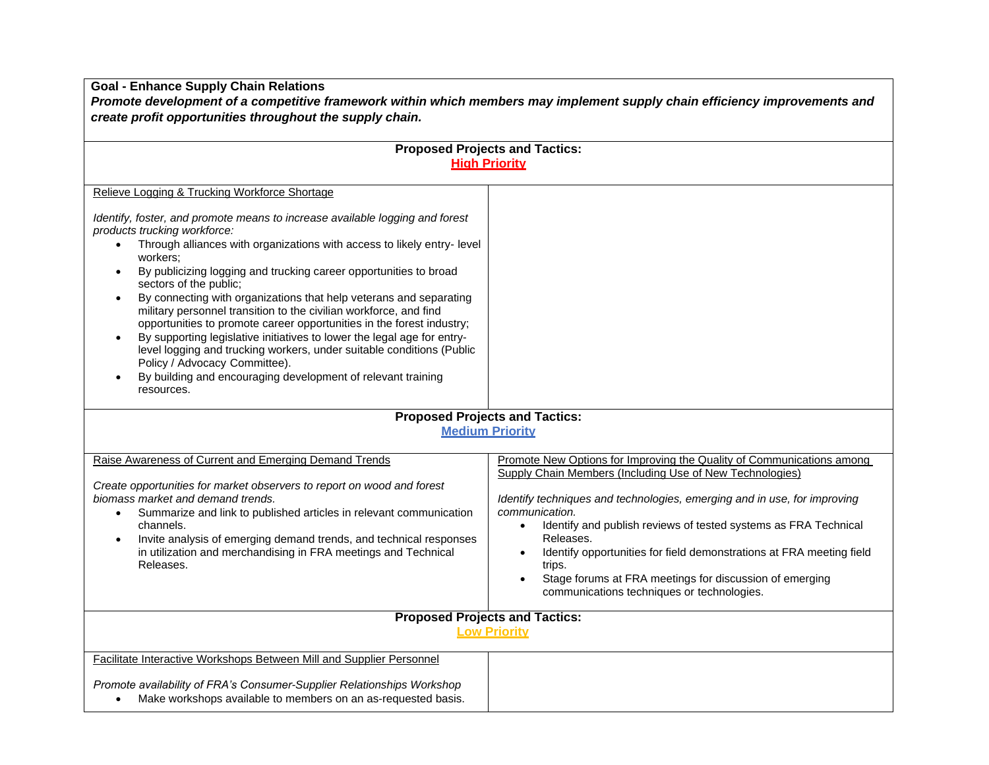**Goal - Enhance Supply Chain Relations**

*Promote development of a competitive framework within which members may implement supply chain efficiency improvements and create profit opportunities throughout the supply chain.*

| <b>Proposed Projects and Tactics:</b>                                                                                                                                                                                                                                                                                                                                                                                                                                                                                                                                                                                                                                                                                                                                                                                           |                                                                                                                                                                                                                                                                                                                                                                                                                                                                                                                                      |  |
|---------------------------------------------------------------------------------------------------------------------------------------------------------------------------------------------------------------------------------------------------------------------------------------------------------------------------------------------------------------------------------------------------------------------------------------------------------------------------------------------------------------------------------------------------------------------------------------------------------------------------------------------------------------------------------------------------------------------------------------------------------------------------------------------------------------------------------|--------------------------------------------------------------------------------------------------------------------------------------------------------------------------------------------------------------------------------------------------------------------------------------------------------------------------------------------------------------------------------------------------------------------------------------------------------------------------------------------------------------------------------------|--|
| <b>High Priority</b>                                                                                                                                                                                                                                                                                                                                                                                                                                                                                                                                                                                                                                                                                                                                                                                                            |                                                                                                                                                                                                                                                                                                                                                                                                                                                                                                                                      |  |
| Relieve Logging & Trucking Workforce Shortage                                                                                                                                                                                                                                                                                                                                                                                                                                                                                                                                                                                                                                                                                                                                                                                   |                                                                                                                                                                                                                                                                                                                                                                                                                                                                                                                                      |  |
| Identify, foster, and promote means to increase available logging and forest<br>products trucking workforce:<br>Through alliances with organizations with access to likely entry-level<br>$\bullet$<br>workers;<br>By publicizing logging and trucking career opportunities to broad<br>$\bullet$<br>sectors of the public;<br>By connecting with organizations that help veterans and separating<br>military personnel transition to the civilian workforce, and find<br>opportunities to promote career opportunities in the forest industry;<br>By supporting legislative initiatives to lower the legal age for entry-<br>$\bullet$<br>level logging and trucking workers, under suitable conditions (Public<br>Policy / Advocacy Committee).<br>By building and encouraging development of relevant training<br>resources. |                                                                                                                                                                                                                                                                                                                                                                                                                                                                                                                                      |  |
| <b>Proposed Projects and Tactics:</b>                                                                                                                                                                                                                                                                                                                                                                                                                                                                                                                                                                                                                                                                                                                                                                                           |                                                                                                                                                                                                                                                                                                                                                                                                                                                                                                                                      |  |
|                                                                                                                                                                                                                                                                                                                                                                                                                                                                                                                                                                                                                                                                                                                                                                                                                                 | <b>Medium Priority</b>                                                                                                                                                                                                                                                                                                                                                                                                                                                                                                               |  |
|                                                                                                                                                                                                                                                                                                                                                                                                                                                                                                                                                                                                                                                                                                                                                                                                                                 |                                                                                                                                                                                                                                                                                                                                                                                                                                                                                                                                      |  |
| Raise Awareness of Current and Emerging Demand Trends<br>Create opportunities for market observers to report on wood and forest<br>biomass market and demand trends.<br>Summarize and link to published articles in relevant communication<br>channels.<br>Invite analysis of emerging demand trends, and technical responses<br>in utilization and merchandising in FRA meetings and Technical<br>Releases.                                                                                                                                                                                                                                                                                                                                                                                                                    | Promote New Options for Improving the Quality of Communications among<br>Supply Chain Members (Including Use of New Technologies)<br>Identify techniques and technologies, emerging and in use, for improving<br>communication.<br>Identify and publish reviews of tested systems as FRA Technical<br>$\bullet$<br>Releases.<br>Identify opportunities for field demonstrations at FRA meeting field<br>$\bullet$<br>trips.<br>Stage forums at FRA meetings for discussion of emerging<br>communications techniques or technologies. |  |
| <b>Proposed Projects and Tactics:</b>                                                                                                                                                                                                                                                                                                                                                                                                                                                                                                                                                                                                                                                                                                                                                                                           |                                                                                                                                                                                                                                                                                                                                                                                                                                                                                                                                      |  |
| <b>Low Priority</b>                                                                                                                                                                                                                                                                                                                                                                                                                                                                                                                                                                                                                                                                                                                                                                                                             |                                                                                                                                                                                                                                                                                                                                                                                                                                                                                                                                      |  |
| Facilitate Interactive Workshops Between Mill and Supplier Personnel                                                                                                                                                                                                                                                                                                                                                                                                                                                                                                                                                                                                                                                                                                                                                            |                                                                                                                                                                                                                                                                                                                                                                                                                                                                                                                                      |  |
| Promote availability of FRA's Consumer-Supplier Relationships Workshop<br>Make workshops available to members on an as-requested basis.                                                                                                                                                                                                                                                                                                                                                                                                                                                                                                                                                                                                                                                                                         |                                                                                                                                                                                                                                                                                                                                                                                                                                                                                                                                      |  |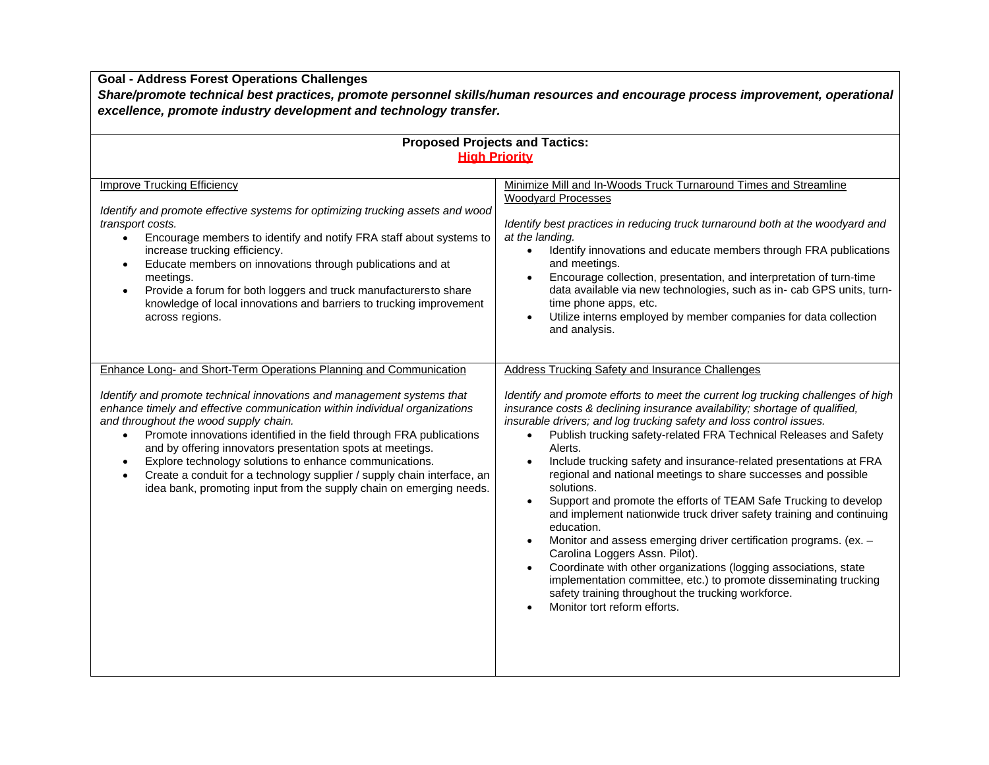**Goal - Address Forest Operations Challenges**

*Share/promote technical best practices, promote personnel skills/human resources and encourage process improvement, operational excellence, promote industry development and technology transfer.*

| <b>Proposed Projects and Tactics:</b>                                                                                                                                                                                                                                                                                                                                                                                                                                                                                                                                                                                               |                                                                                                                                                                                                                                                                                                                                                                                                                                                                                                                                                                                                                                                                                                                                                                                                                                                                                                                                                                                                                                                                        |  |
|-------------------------------------------------------------------------------------------------------------------------------------------------------------------------------------------------------------------------------------------------------------------------------------------------------------------------------------------------------------------------------------------------------------------------------------------------------------------------------------------------------------------------------------------------------------------------------------------------------------------------------------|------------------------------------------------------------------------------------------------------------------------------------------------------------------------------------------------------------------------------------------------------------------------------------------------------------------------------------------------------------------------------------------------------------------------------------------------------------------------------------------------------------------------------------------------------------------------------------------------------------------------------------------------------------------------------------------------------------------------------------------------------------------------------------------------------------------------------------------------------------------------------------------------------------------------------------------------------------------------------------------------------------------------------------------------------------------------|--|
| <b>High Priority</b>                                                                                                                                                                                                                                                                                                                                                                                                                                                                                                                                                                                                                |                                                                                                                                                                                                                                                                                                                                                                                                                                                                                                                                                                                                                                                                                                                                                                                                                                                                                                                                                                                                                                                                        |  |
| <b>Improve Trucking Efficiency</b><br>Identify and promote effective systems for optimizing trucking assets and wood<br>transport costs.<br>Encourage members to identify and notify FRA staff about systems to<br>$\bullet$<br>increase trucking efficiency.<br>Educate members on innovations through publications and at<br>$\bullet$<br>meetings.<br>Provide a forum for both loggers and truck manufacturersto share<br>knowledge of local innovations and barriers to trucking improvement<br>across regions.                                                                                                                 | Minimize Mill and In-Woods Truck Turnaround Times and Streamline<br><b>Woodyard Processes</b><br>Identify best practices in reducing truck turnaround both at the woodyard and<br>at the landing.<br>Identify innovations and educate members through FRA publications<br>$\bullet$<br>and meetings.<br>Encourage collection, presentation, and interpretation of turn-time<br>$\bullet$<br>data available via new technologies, such as in- cab GPS units, turn-<br>time phone apps, etc.<br>Utilize interns employed by member companies for data collection<br>and analysis.                                                                                                                                                                                                                                                                                                                                                                                                                                                                                        |  |
| Enhance Long- and Short-Term Operations Planning and Communication<br>Identify and promote technical innovations and management systems that<br>enhance timely and effective communication within individual organizations<br>and throughout the wood supply chain.<br>Promote innovations identified in the field through FRA publications<br>and by offering innovators presentation spots at meetings.<br>Explore technology solutions to enhance communications.<br>$\bullet$<br>Create a conduit for a technology supplier / supply chain interface, an<br>idea bank, promoting input from the supply chain on emerging needs. | Address Trucking Safety and Insurance Challenges<br>Identify and promote efforts to meet the current log trucking challenges of high<br>insurance costs & declining insurance availability; shortage of qualified,<br>insurable drivers; and log trucking safety and loss control issues.<br>Publish trucking safety-related FRA Technical Releases and Safety<br>Alerts.<br>Include trucking safety and insurance-related presentations at FRA<br>$\bullet$<br>regional and national meetings to share successes and possible<br>solutions.<br>Support and promote the efforts of TEAM Safe Trucking to develop<br>$\bullet$<br>and implement nationwide truck driver safety training and continuing<br>education.<br>Monitor and assess emerging driver certification programs. (ex. -<br>$\bullet$<br>Carolina Loggers Assn. Pilot).<br>Coordinate with other organizations (logging associations, state<br>implementation committee, etc.) to promote disseminating trucking<br>safety training throughout the trucking workforce.<br>Monitor tort reform efforts. |  |